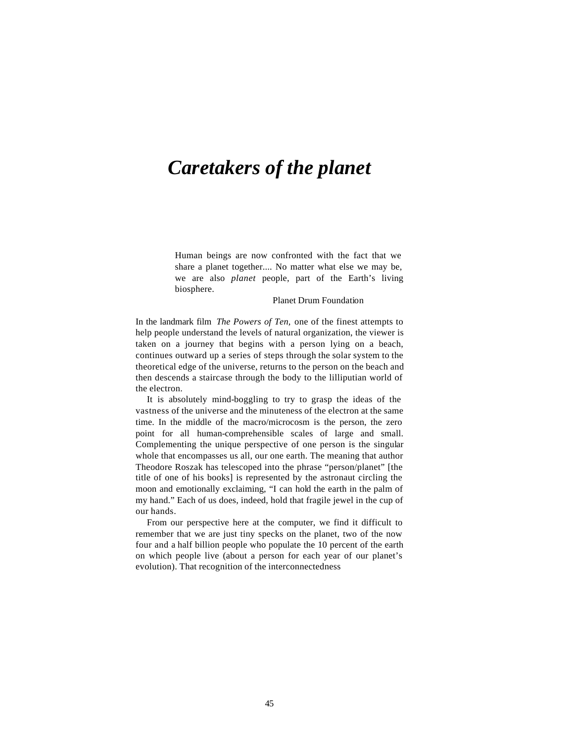# *Caretakers of the planet*

Human beings are now confronted with the fact that we share a planet together.... No matter what else we may be, we are also *planet* people, part of the Earth's living biosphere.

## Planet Drum Foundation

In the landmark film *The Powers of Ten,* one of the finest attempts to help people understand the levels of natural organization, the viewer is taken on a journey that begins with a person lying on a beach, continues outward up a series of steps through the solar system to the theoretical edge of the universe, returns to the person on the beach and then descends a staircase through the body to the lilliputian world of the electron.

It is absolutely mind-boggling to try to grasp the ideas of the vastness of the universe and the minuteness of the electron at the same time. In the middle of the macro/microcosm is the person, the zero point for all human-comprehensible scales of large and small. Complementing the unique perspective of one person is the singular whole that encompasses us all, our one earth. The meaning that author Theodore Roszak has telescoped into the phrase "person/planet" [the title of one of his books] is represented by the astronaut circling the moon and emotionally exclaiming, "I can hold the earth in the palm of my hand." Each of us does, indeed, hold that fragile jewel in the cup of our hands.

From our perspective here at the computer, we find it difficult to remember that we are just tiny specks on the planet, two of the now four and a half billion people who populate the 10 percent of the earth on which people live (about a person for each year of our planet's evolution). That recognition of the interconnectedness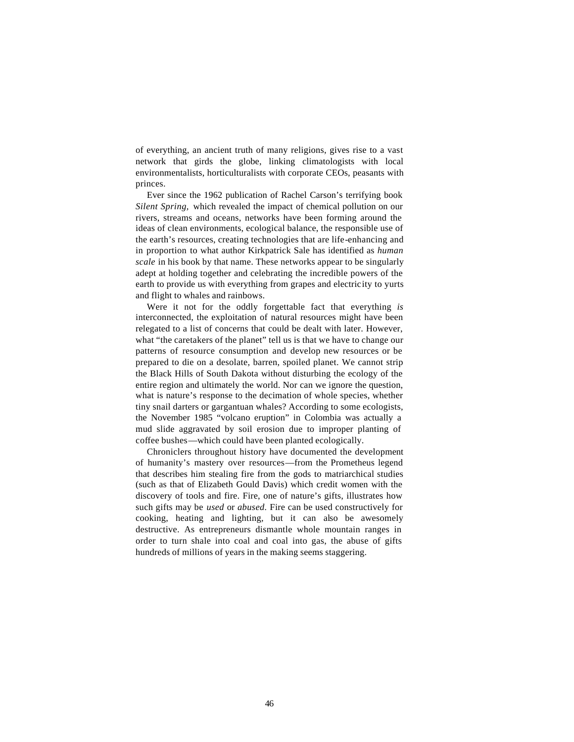of everything, an ancient truth of many religions, gives rise to a vast network that girds the globe, linking climatologists with local environmentalists, horticulturalists with corporate CEOs, peasants with princes.

Ever since the 1962 publication of Rachel Carson's terrifying book *Silent Spring,* which revealed the impact of chemical pollution on our rivers, streams and oceans, networks have been forming around the ideas of clean environments, ecological balance, the responsible use of the earth's resources, creating technologies that are life-enhancing and in proportion to what author Kirkpatrick Sale has identified as *human scale* in his book by that name. These networks appear to be singularly adept at holding together and celebrating the incredible powers of the earth to provide us with everything from grapes and electricity to yurts and flight to whales and rainbows.

Were it not for the oddly forgettable fact that everything *is*  interconnected, the exploitation of natural resources might have been relegated to a list of concerns that could be dealt with later. However, what "the caretakers of the planet" tell us is that we have to change our patterns of resource consumption and develop new resources or be prepared to die on a desolate, barren, spoiled planet. We cannot strip the Black Hills of South Dakota without disturbing the ecology of the entire region and ultimately the world. Nor can we ignore the question, what is nature's response to the decimation of whole species, whether tiny snail darters or gargantuan whales? According to some ecologists, the November 1985 "volcano eruption" in Colombia was actually a mud slide aggravated by soil erosion due to improper planting of coffee bushes—which could have been planted ecologically.

Chroniclers throughout history have documented the development of humanity's mastery over resources—from the Prometheus legend that describes him stealing fire from the gods to matriarchical studies (such as that of Elizabeth Gould Davis) which credit women with the discovery of tools and fire. Fire, one of nature's gifts, illustrates how such gifts may be *used* or *abused.* Fire can be used constructively for cooking, heating and lighting, but it can also be awesomely destructive. As entrepreneurs dismantle whole mountain ranges in order to turn shale into coal and coal into gas, the abuse of gifts hundreds of millions of years in the making seems staggering.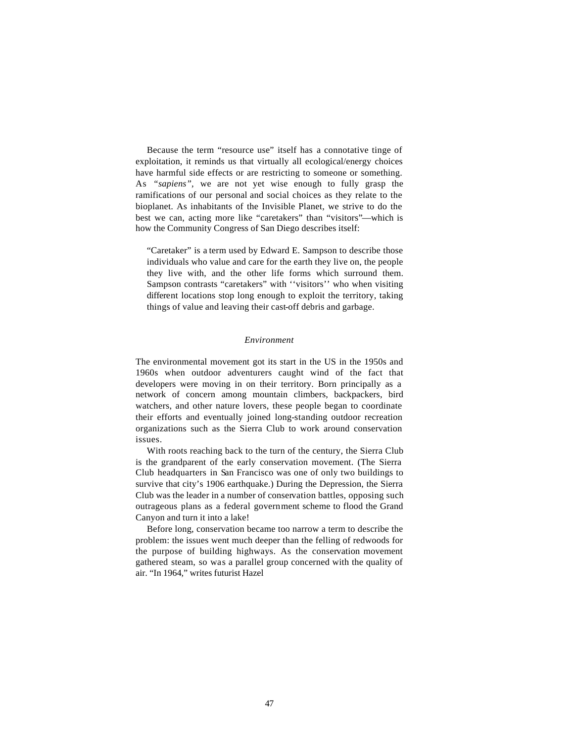Because the term "resource use" itself has a connotative tinge of exploitation, it reminds us that virtually all ecological/energy choices have harmful side effects or are restricting to someone or something. As *"sapiens",* we are not yet wise enough to fully grasp the ramifications of our personal and social choices as they relate to the bioplanet. As inhabitants of the Invisible Planet, we strive to do the best we can, acting more like "caretakers" than "visitors"—which is how the Community Congress of San Diego describes itself:

"Caretaker" is a term used by Edward E. Sampson to describe those individuals who value and care for the earth they live on, the people they live with, and the other life forms which surround them. Sampson contrasts "caretakers" with ''visitors'' who when visiting different locations stop long enough to exploit the territory, taking things of value and leaving their cast-off debris and garbage.

## *Environment*

The environmental movement got its start in the US in the 1950s and 1960s when outdoor adventurers caught wind of the fact that developers were moving in on their territory. Born principally as a network of concern among mountain climbers, backpackers, bird watchers, and other nature lovers, these people began to coordinate their efforts and eventually joined long-standing outdoor recreation organizations such as the Sierra Club to work around conservation issues.

With roots reaching back to the turn of the century, the Sierra Club is the grandparent of the early conservation movement. (The Sierra Club headquarters in San Francisco was one of only two buildings to survive that city's 1906 earthquake.) During the Depression, the Sierra Club was the leader in a number of conservation battles, opposing such outrageous plans as a federal government scheme to flood the Grand Canyon and turn it into a lake!

Before long, conservation became too narrow a term to describe the problem: the issues went much deeper than the felling of redwoods for the purpose of building highways. As the conservation movement gathered steam, so was a parallel group concerned with the quality of air. "In 1964," writes futurist Hazel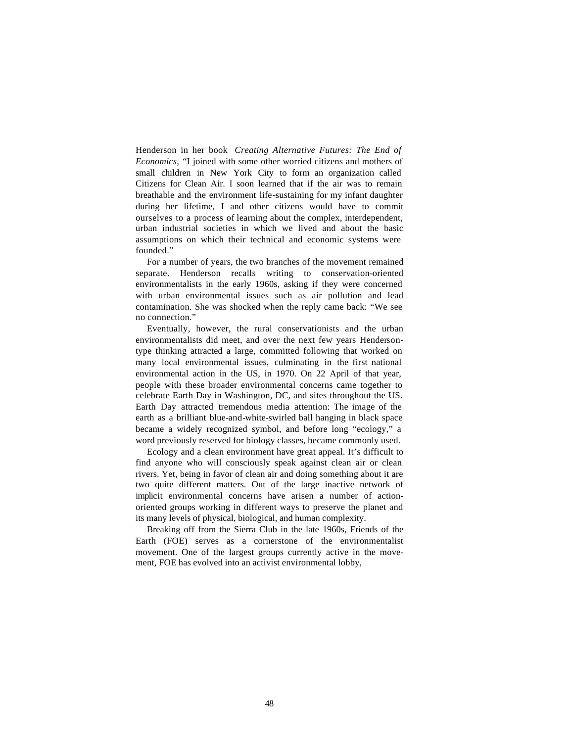Henderson in her book *Creating Alternative Futures: The End of Economics,* "I joined with some other worried citizens and mothers of small children in New York City to form an organization called Citizens for Clean Air. I soon learned that if the air was to remain breathable and the environment life-sustaining for my infant daughter during her lifetime, I and other citizens would have to commit ourselves to a process of learning about the complex, interdependent, urban industrial societies in which we lived and about the basic assumptions on which their technical and economic systems were founded."

For a number of years, the two branches of the movement remained separate. Henderson recalls writing to conservation-oriented environmentalists in the early 1960s, asking if they were concerned with urban environmental issues such as air pollution and lead contamination. She was shocked when the reply came back: "We see no connection."

Eventually, however, the rural conservationists and the urban environmentalists did meet, and over the next few years Hendersontype thinking attracted a large, committed following that worked on many local environmental issues, culminating in the first national environmental action in the US, in 1970. On 22 April of that year, people with these broader environmental concerns came together to celebrate Earth Day in Washington, DC, and sites throughout the US. Earth Day attracted tremendous media attention: The image of the earth as a brilliant blue-and-white-swirled ball hanging in black space became a widely recognized symbol, and before long "ecology," a word previously reserved for biology classes, became commonly used.

Ecology and a clean environment have great appeal. It's difficult to find anyone who will consciously speak against clean air or clean rivers. Yet, being in favor of clean air and doing something about it are two quite different matters. Out of the large inactive network of implicit environmental concerns have arisen a number of actionoriented groups working in different ways to preserve the planet and its many levels of physical, biological, and human complexity.

Breaking off from the Sierra Club in the late 1960s, Friends of the Earth (FOE) serves as a cornerstone of the environmentalist movement. One of the largest groups currently active in the movement, FOE has evolved into an activist environmental lobby,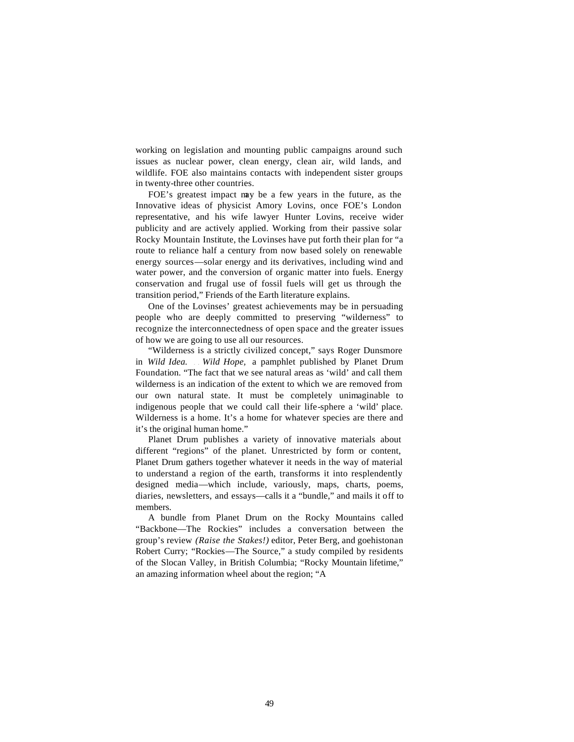working on legislation and mounting public campaigns around such issues as nuclear power, clean energy, clean air, wild lands, and wildlife. FOE also maintains contacts with independent sister groups in twenty-three other countries.

FOE's greatest impact may be a few years in the future, as the Innovative ideas of physicist Amory Lovins, once FOE's London representative, and his wife lawyer Hunter Lovins, receive wider publicity and are actively applied. Working from their passive solar Rocky Mountain Institute, the Lovinses have put forth their plan for "a route to reliance half a century from now based solely on renewable energy sources—solar energy and its derivatives, including wind and water power, and the conversion of organic matter into fuels. Energy conservation and frugal use of fossil fuels will get us through the transition period," Friends of the Earth literature explains.

One of the Lovinses' greatest achievements may be in persuading people who are deeply committed to preserving "wilderness" to recognize the interconnectedness of open space and the greater issues of how we are going to use all our resources.

"Wilderness is a strictly civilized concept," says Roger Dunsmore in *Wild Idea.* . . *Wild Hope,* a pamphlet published by Planet Drum Foundation. "The fact that we see natural areas as 'wild' and call them wilderness is an indication of the extent to which we are removed from our own natural state. It must be completely unimaginable to indigenous people that we could call their life-sphere a 'wild' place. Wilderness is a home. It's a home for whatever species are there and it's the original human home."

Planet Drum publishes a variety of innovative materials about different "regions" of the planet. Unrestricted by form or content, Planet Drum gathers together whatever it needs in the way of material to understand a region of the earth, transforms it into resplendently designed media—which include, variously, maps, charts, poems, diaries, newsletters, and essays—calls it a "bundle," and mails it off to members.

A bundle from Planet Drum on the Rocky Mountains called "Backbone—The Rockies" includes a conversation between the group's review *(Raise the Stakes!)* editor, Peter Berg, and goehistonan Robert Curry; "Rockies—The Source," a study compiled by residents of the Slocan Valley, in British Columbia; "Rocky Mountain lifetime," an amazing information wheel about the region; "A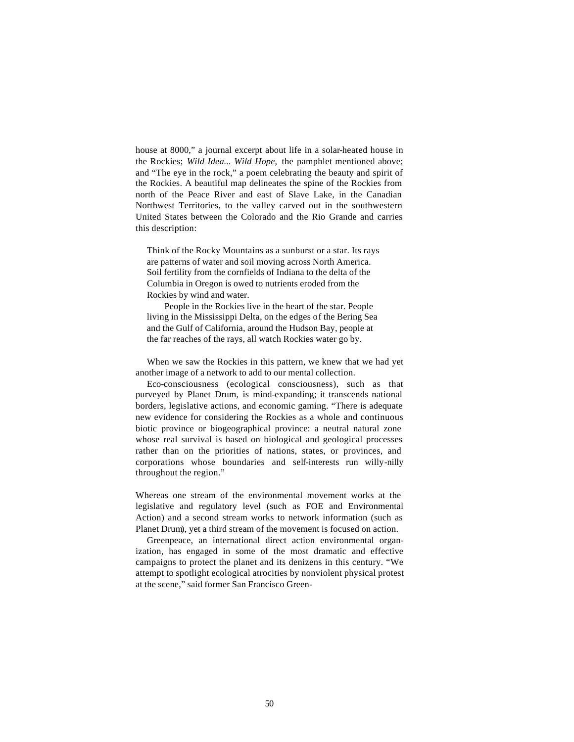house at 8000," a journal excerpt about life in a solar-heated house in the Rockies; *Wild Idea... Wild Hope,* the pamphlet mentioned above; and "The eye in the rock," a poem celebrating the beauty and spirit of the Rockies. A beautiful map delineates the spine of the Rockies from north of the Peace River and east of Slave Lake, in the Canadian Northwest Territories, to the valley carved out in the southwestern United States between the Colorado and the Rio Grande and carries this description:

Think of the Rocky Mountains as a sunburst or a star. Its rays are patterns of water and soil moving across North America. Soil fertility from the cornfields of Indiana to the delta of the Columbia in Oregon is owed to nutrients eroded from the Rockies by wind and water.

People in the Rockies live in the heart of the star. People living in the Mississippi Delta, on the edges of the Bering Sea and the Gulf of California, around the Hudson Bay, people at the far reaches of the rays, all watch Rockies water go by.

When we saw the Rockies in this pattern, we knew that we had yet another image of a network to add to our mental collection.

Eco-consciousness (ecological consciousness), such as that purveyed by Planet Drum, is mind-expanding; it transcends national borders, legislative actions, and economic gaming. "There is adequate new evidence for considering the Rockies as a whole and continuous biotic province or biogeographical province: a neutral natural zone whose real survival is based on biological and geological processes rather than on the priorities of nations, states, or provinces, and corporations whose boundaries and self-interests run willy-nilly throughout the region."

Whereas one stream of the environmental movement works at the legislative and regulatory level (such as FOE and Environmental Action) and a second stream works to network information (such as Planet Drum), yet a third stream of the movement is focused on action.

Greenpeace, an international direct action environmental organization, has engaged in some of the most dramatic and effective campaigns to protect the planet and its denizens in this century. "We attempt to spotlight ecological atrocities by nonviolent physical protest at the scene," said former San Francisco Green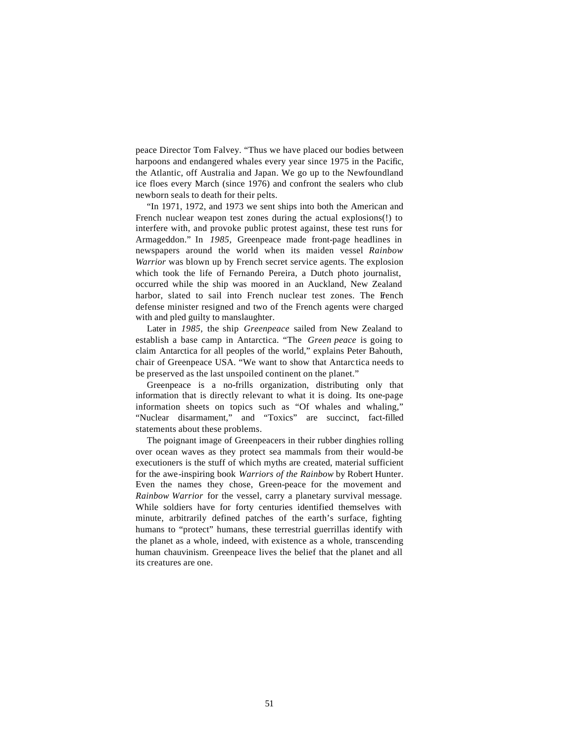peace Director Tom Falvey. "Thus we have placed our bodies between harpoons and endangered whales every year since 1975 in the Pacific, the Atlantic, off Australia and Japan. We go up to the Newfoundland ice floes every March (since 1976) and confront the sealers who club newborn seals to death for their pelts.

"In 1971, 1972, and 1973 we sent ships into both the American and French nuclear weapon test zones during the actual explosions(!) to interfere with, and provoke public protest against, these test runs for Armageddon." In *1985,* Greenpeace made front-page headlines in newspapers around the world when its maiden vessel *Rainbow Warrior* was blown up by French secret service agents. The explosion which took the life of Fernando Pereira, a Dutch photo journalist, occurred while the ship was moored in an Auckland, New Zealand harbor, slated to sail into French nuclear test zones. The French defense minister resigned and two of the French agents were charged with and pled guilty to manslaughter.

Later in *1985,* the ship *Greenpeace* sailed from New Zealand to establish a base camp in Antarctica. "The *Green peace* is going to claim Antarctica for all peoples of the world," explains Peter Bahouth, chair of Greenpeace USA. "We want to show that Antarctica needs to be preserved as the last unspoiled continent on the planet."

Greenpeace is a no-frills organization, distributing only that information that is directly relevant to what it is doing. Its one-page information sheets on topics such as "Of whales and whaling," "Nuclear disarmament," and "Toxics" are succinct, fact-filled statements about these problems.

The poignant image of Greenpeacers in their rubber dinghies rolling over ocean waves as they protect sea mammals from their would-be executioners is the stuff of which myths are created, material sufficient for the awe-inspiring book *Warriors of the Rainbow* by Robert Hunter. Even the names they chose, Green-peace for the movement and *Rainbow Warrior* for the vessel, carry a planetary survival message. While soldiers have for forty centuries identified themselves with minute, arbitrarily defined patches of the earth's surface, fighting humans to "protect" humans, these terrestrial guerrillas identify with the planet as a whole, indeed, with existence as a whole, transcending human chauvinism. Greenpeace lives the belief that the planet and all its creatures are one.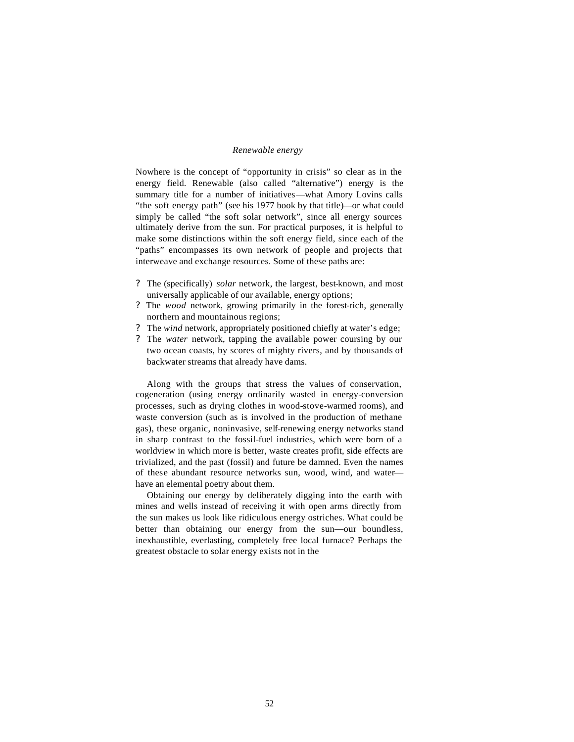### *Renewable energy*

Nowhere is the concept of "opportunity in crisis" so clear as in the energy field. Renewable (also called "alternative") energy is the summary title for a number of initiatives—what Amory Lovins calls "the soft energy path" (see his 1977 book by that title)—or what could simply be called "the soft solar network", since all energy sources ultimately derive from the sun. For practical purposes, it is helpful to make some distinctions within the soft energy field, since each of the "paths" encompasses its own network of people and projects that interweave and exchange resources. Some of these paths are:

- ? The (specifically) *solar* network, the largest, best-known, and most universally applicable of our available, energy options;
- ? The *wood* network, growing primarily in the forest-rich, generally northern and mountainous regions;
- ? The *wind* network, appropriately positioned chiefly at water's edge;
- ? The *water* network, tapping the available power coursing by our two ocean coasts, by scores of mighty rivers, and by thousands of backwater streams that already have dams.

Along with the groups that stress the values of conservation, cogeneration (using energy ordinarily wasted in energy-conversion processes, such as drying clothes in wood-stove-warmed rooms), and waste conversion (such as is involved in the production of methane gas), these organic, noninvasive, self-renewing energy networks stand in sharp contrast to the fossil-fuel industries, which were born of a worldview in which more is better, waste creates profit, side effects are trivialized, and the past (fossil) and future be damned. Even the names of these abundant resource networks sun, wood, wind, and water have an elemental poetry about them.

Obtaining our energy by deliberately digging into the earth with mines and wells instead of receiving it with open arms directly from the sun makes us look like ridiculous energy ostriches. What could be better than obtaining our energy from the sun—our boundless, inexhaustible, everlasting, completely free local furnace? Perhaps the greatest obstacle to solar energy exists not in the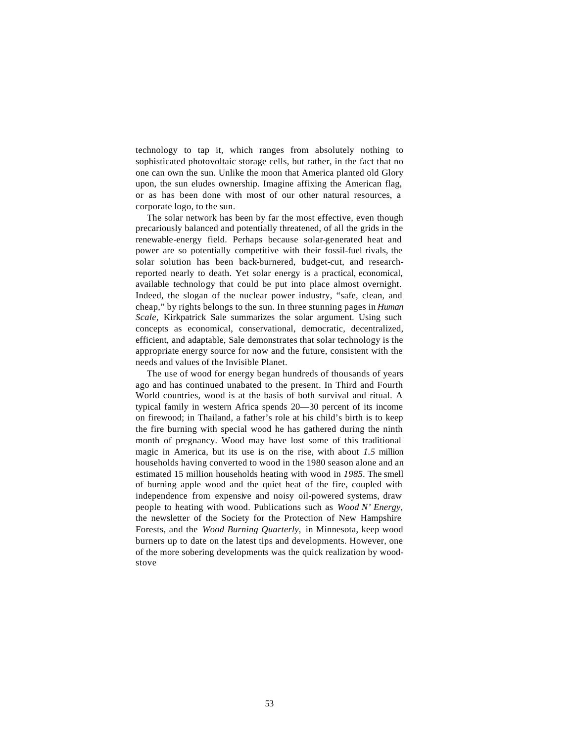technology to tap it, which ranges from absolutely nothing to sophisticated photovoltaic storage cells, but rather, in the fact that no one can own the sun. Unlike the moon that America planted old Glory upon, the sun eludes ownership. Imagine affixing the American flag, or as has been done with most of our other natural resources, a corporate logo, to the sun.

The solar network has been by far the most effective, even though precariously balanced and potentially threatened, of all the grids in the renewable-energy field. Perhaps because solar-generated heat and power are so potentially competitive with their fossil-fuel rivals, the solar solution has been back-burnered, budget-cut, and researchreported nearly to death. Yet solar energy is a practical, economical, available technology that could be put into place almost overnight. Indeed, the slogan of the nuclear power industry, "safe, clean, and cheap," by rights belongs to the sun. In three stunning pages in *Human Scale,* Kirkpatrick Sale summarizes the solar argument. Using such concepts as economical, conservational, democratic, decentralized, efficient, and adaptable, Sale demonstrates that solar technology is the appropriate energy source for now and the future, consistent with the needs and values of the Invisible Planet.

The use of wood for energy began hundreds of thousands of years ago and has continued unabated to the present. In Third and Fourth World countries, wood is at the basis of both survival and ritual. A typical family in western Africa spends 20—30 percent of its income on firewood; in Thailand, a father's role at his child's birth is to keep the fire burning with special wood he has gathered during the ninth month of pregnancy. Wood may have lost some of this traditional magic in America, but its use is on the rise, with about *1.5* million households having converted to wood in the 1980 season alone and an estimated 15 million households heating with wood in *1985.* The smell of burning apple wood and the quiet heat of the fire, coupled with independence from expensive and noisy oil-powered systems, draw people to heating with wood. Publications such as *Wood N' Energy,*  the newsletter of the Society for the Protection of New Hampshire Forests, and the *Wood Burning Quarterly,* in Minnesota, keep wood burners up to date on the latest tips and developments. However, one of the more sobering developments was the quick realization by woodstove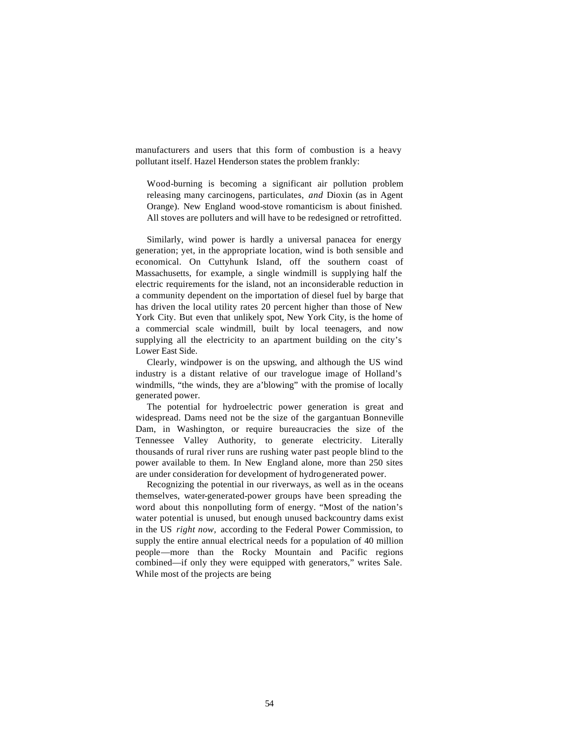manufacturers and users that this form of combustion is a heavy pollutant itself. Hazel Henderson states the problem frankly:

Wood-burning is becoming a significant air pollution problem releasing many carcinogens, particulates, *and* Dioxin (as in Agent Orange). New England wood-stove romanticism is about finished. All stoves are polluters and will have to be redesigned or retrofitted.

Similarly, wind power is hardly a universal panacea for energy generation; yet, in the appropriate location, wind is both sensible and economical. On Cuttyhunk Island, off the southern coast of Massachusetts, for example, a single windmill is supplying half the electric requirements for the island, not an inconsiderable reduction in a community dependent on the importation of diesel fuel by barge that has driven the local utility rates 20 percent higher than those of New York City. But even that unlikely spot, New York City, is the home of a commercial scale windmill, built by local teenagers, and now supplying all the electricity to an apartment building on the city's Lower East Side.

Clearly, windpower is on the upswing, and although the US wind industry is a distant relative of our travelogue image of Holland's windmills, "the winds, they are a'blowing" with the promise of locally generated power.

The potential for hydroelectric power generation is great and widespread. Dams need not be the size of the gargantuan Bonneville Dam, in Washington, or require bureaucracies the size of the Tennessee Valley Authority, to generate electricity. Literally thousands of rural river runs are rushing water past people blind to the power available to them. In New England alone, more than 250 sites are under consideration for development of hydrogenerated power.

Recognizing the potential in our riverways, as well as in the oceans themselves, water-generated-power groups have been spreading the word about this nonpolluting form of energy. "Most of the nation's water potential is unused, but enough unused backcountry dams exist in the US *right now,* according to the Federal Power Commission, to supply the entire annual electrical needs for a population of 40 million people—more than the Rocky Mountain and Pacific regions combined—if only they were equipped with generators," writes Sale. While most of the projects are being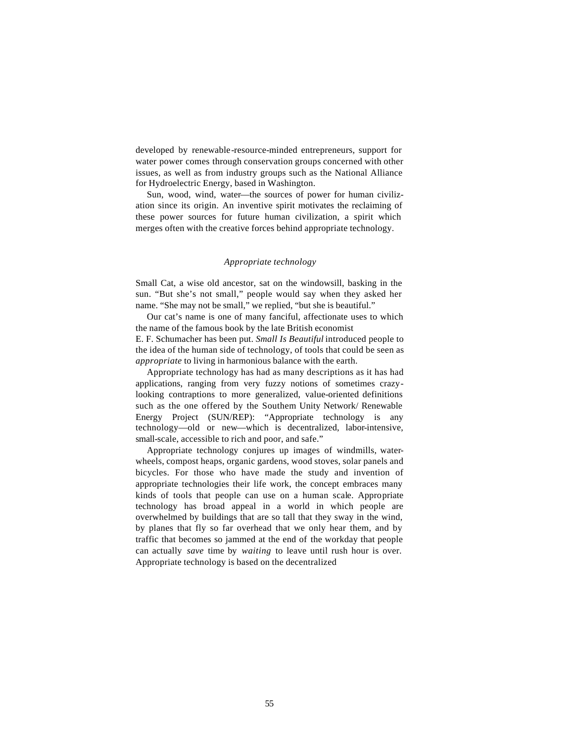developed by renewable-resource-minded entrepreneurs, support for water power comes through conservation groups concerned with other issues, as well as from industry groups such as the National Alliance for Hydroelectric Energy, based in Washington.

Sun, wood, wind, water—the sources of power for human civilization since its origin. An inventive spirit motivates the reclaiming of these power sources for future human civilization, a spirit which merges often with the creative forces behind appropriate technology.

### *Appropriate technology*

Small Cat, a wise old ancestor, sat on the windowsill, basking in the sun. "But she's not small," people would say when they asked her name. "She may not be small," we replied, "but she is beautiful."

Our cat's name is one of many fanciful, affectionate uses to which the name of the famous book by the late British economist E. F. Schumacher has been put. *Small Is Beautiful* introduced people to the idea of the human side of technology, of tools that could be seen as *appropriate* to living in harmonious balance with the earth.

Appropriate technology has had as many descriptions as it has had applications, ranging from very fuzzy notions of sometimes crazylooking contraptions to more generalized, value-oriented definitions such as the one offered by the Southern Unity Network/ Renewable Energy Project (SUN/REP): "Appropriate technology is any technology—old or new—which is decentralized, labor-intensive, small-scale, accessible to rich and poor, and safe."

Appropriate technology conjures up images of windmills, waterwheels, compost heaps, organic gardens, wood stoves, solar panels and bicycles. For those who have made the study and invention of appropriate technologies their life work, the concept embraces many kinds of tools that people can use on a human scale. Appropriate technology has broad appeal in a world in which people are overwhelmed by buildings that are so tall that they sway in the wind, by planes that fly so far overhead that we only hear them, and by traffic that becomes so jammed at the end of the workday that people can actually *save* time by *waiting* to leave until rush hour is over. Appropriate technology is based on the decentralized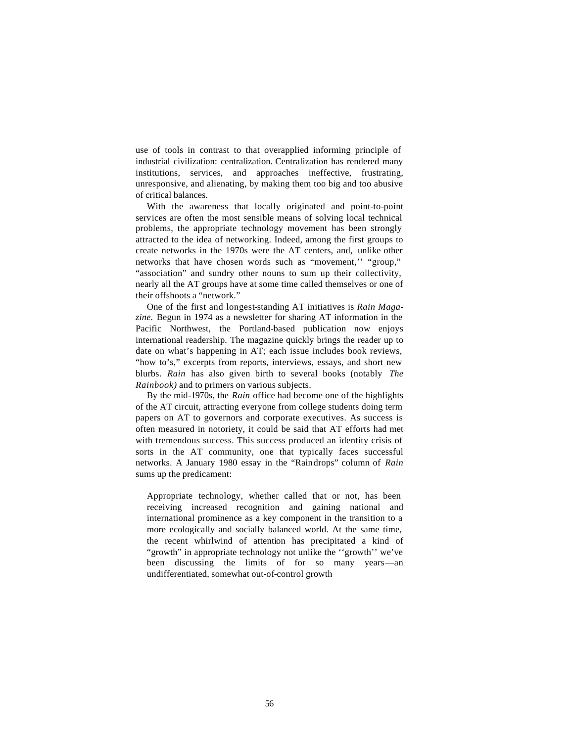use of tools in contrast to that overapplied informing principle of industrial civilization: centralization. Centralization has rendered many institutions, services, and approaches ineffective, frustrating, unresponsive, and alienating, by making them too big and too abusive of critical balances.

With the awareness that locally originated and point-to-point services are often the most sensible means of solving local technical problems, the appropriate technology movement has been strongly attracted to the idea of networking. Indeed, among the first groups to create networks in the 1970s were the AT centers, and, unlike other networks that have chosen words such as "movement,'' "group," "association" and sundry other nouns to sum up their collectivity, nearly all the AT groups have at some time called themselves or one of their offshoots a "network."

One of the first and longest-standing AT initiatives is *Rain Magazine.* Begun in 1974 as a newsletter for sharing AT information in the Pacific Northwest, the Portland-based publication now enjoys international readership. The magazine quickly brings the reader up to date on what's happening in AT; each issue includes book reviews, "how to's," excerpts from reports, interviews, essays, and short new blurbs. *Rain* has also given birth to several books (notably *The Rainbook)* and to primers on various subjects.

By the mid-1970s, the *Rain* office had become one of the highlights of the AT circuit, attracting everyone from college students doing term papers on AT to governors and corporate executives. As success is often measured in notoriety, it could be said that AT efforts had met with tremendous success. This success produced an identity crisis of sorts in the AT community, one that typically faces successful networks. A January 1980 essay in the "Raindrops" column of *Rain*  sums up the predicament:

Appropriate technology, whether called that or not, has been receiving increased recognition and gaining national and international prominence as a key component in the transition to a more ecologically and socially balanced world. At the same time, the recent whirlwind of attention has precipitated a kind of "growth" in appropriate technology not unlike the "growth" we've been discussing the limits of for so many years—an undifferentiated, somewhat out-of-control growth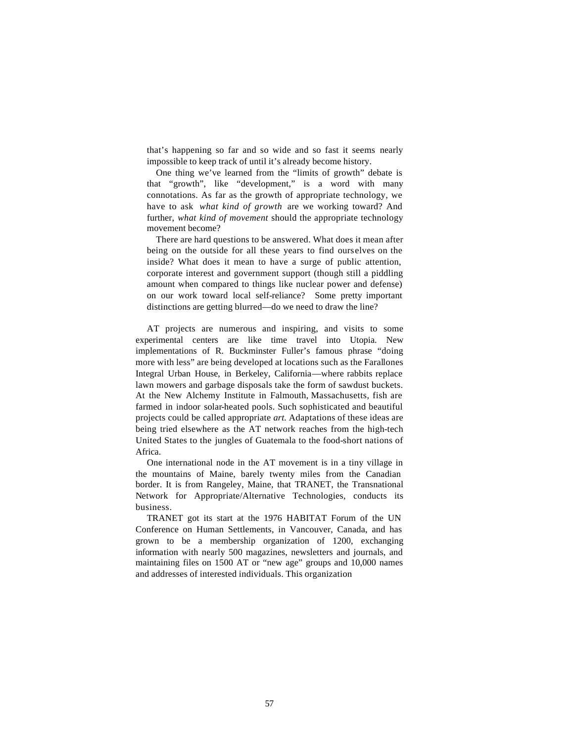that's happening so far and so wide and so fast it seems nearly impossible to keep track of until it's already become history.

One thing we've learned from the "limits of growth" debate is that "growth", like "development," is a word with many connotations. As far as the growth of appropriate technology, we have to ask *what kind of growth* are we working toward? And further, *what kind of movement* should the appropriate technology movement become?

There are hard questions to be answered. What does it mean after being on the outside for all these years to find ourselves on the inside? What does it mean to have a surge of public attention, corporate interest and government support (though still a piddling amount when compared to things like nuclear power and defense) on our work toward local self-reliance? Some pretty important distinctions are getting blurred—do we need to draw the line?

AT projects are numerous and inspiring, and visits to some experimental centers are like time travel into Utopia. New implementations of R. Buckminster Fuller's famous phrase "doing more with less" are being developed at locations such as the Farallones Integral Urban House, in Berkeley, California—where rabbits replace lawn mowers and garbage disposals take the form of sawdust buckets. At the New Alchemy Institute in Falmouth, Massachusetts, fish are farmed in indoor solar-heated pools. Such sophisticated and beautiful projects could be called appropriate *art.* Adaptations of these ideas are being tried elsewhere as the AT network reaches from the high-tech United States to the jungles of Guatemala to the food-short nations of Africa.

One international node in the AT movement is in a tiny village in the mountains of Maine, barely twenty miles from the Canadian border. It is from Rangeley, Maine, that TRANET, the Transnational Network for Appropriate/Alternative Technologies, conducts its business.

TRANET got its start at the 1976 HABITAT Forum of the UN Conference on Human Settlements, in Vancouver, Canada, and has grown to be a membership organization of 1200, exchanging information with nearly 500 magazines, newsletters and journals, and maintaining files on 1500 AT or "new age" groups and 10,000 names and addresses of interested individuals. This organization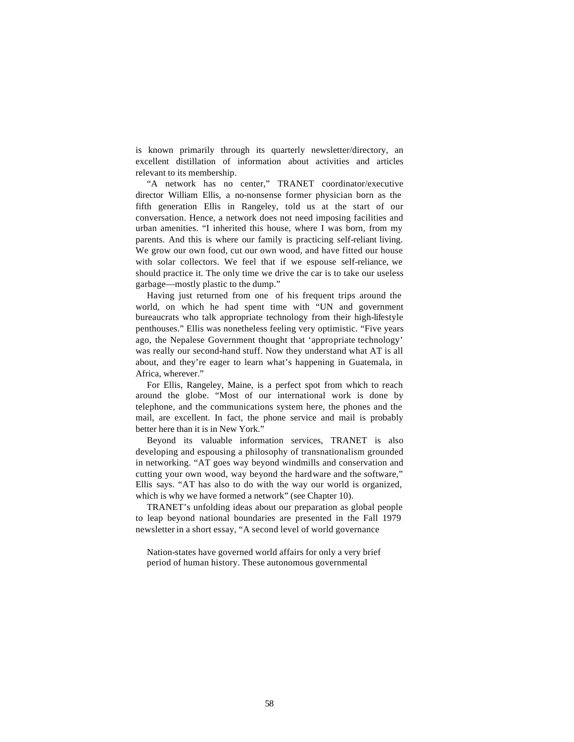is known primarily through its quarterly newsletter/directory, an excellent distillation of information about activities and articles relevant to its membership.

"A network has no center," TRANET coordinator/executive director William Ellis, a no-nonsense former physician born as the fifth generation Ellis in Rangeley, told us at the start of our conversation. Hence, a network does not need imposing facilities and urban amenities. "I inherited this house, where I was born, from my parents. And this is where our family is practicing self-reliant living. We grow our own food, cut our own wood, and have fitted our house with solar collectors. We feel that if we espouse self-reliance, we should practice it. The only time we drive the car is to take our useless garbage—mostly plastic to the dump."

Having just returned from one of his frequent trips around the world, on which he had spent time with "UN and government bureaucrats who talk appropriate technology from their high-lifestyle penthouses." Ellis was nonetheless feeling very optimistic. "Five years ago, the Nepalese Government thought that 'appropriate technology' was really our second-hand stuff. Now they understand what AT is all about, and they're eager to learn what's happening in Guatemala, in Africa, wherever."

For Ellis, Rangeley, Maine, is a perfect spot from which to reach around the globe. "Most of our international work is done by telephone, and the communications system here, the phones and the mail, are excellent. In fact, the phone service and mail is probably better here than it is in New York."

Beyond its valuable information services, TRANET is also developing and espousing a philosophy of transnationalism grounded in networking. "AT goes way beyond windmills and conservation and cutting your own wood, way beyond the hardware and the software," Ellis says. "AT has also to do with the way our world is organized, which is why we have formed a network" (see Chapter 10).

TRANET's unfolding ideas about our preparation as global people to leap beyond national boundaries are presented in the Fall 1979 newsletter in a short essay, "A second level of world governance

Nation-states have governed world affairs for only a very brief period of human history. These autonomous governmental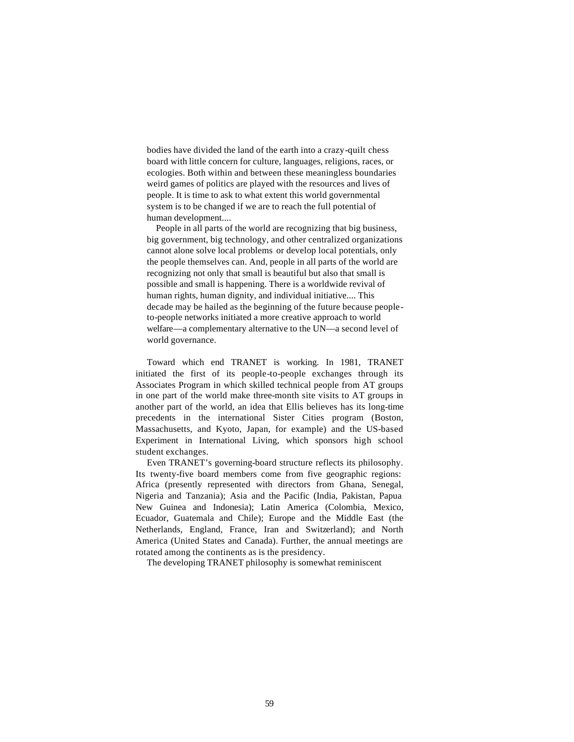bodies have divided the land of the earth into a crazy-quilt chess board with little concern for culture, languages, religions, races, or ecologies. Both within and between these meaningless boundaries weird games of politics are played with the resources and lives of people. It is time to ask to what extent this world governmental system is to be changed if we are to reach the full potential of human development....

People in all parts of the world are recognizing that big business, big government, big technology, and other centralized organizations cannot alone solve local problems or develop local potentials, only the people themselves can. And, people in all parts of the world are recognizing not only that small is beautiful but also that small is possible and small is happening. There is a worldwide revival of human rights, human dignity, and individual initiative.... This decade may be hailed as the beginning of the future because peopleto-people networks initiated a more creative approach to world welfare—a complementary alternative to the UN—a second level of world governance.

Toward which end TRANET is working. In 1981, TRANET initiated the first of its people-to-people exchanges through its Associates Program in which skilled technical people from AT groups in one part of the world make three-month site visits to AT groups in another part of the world, an idea that Ellis believes has its long-time precedents in the international Sister Cities program (Boston, Massachusetts, and Kyoto, Japan, for example) and the US-based Experiment in International Living, which sponsors high school student exchanges.

Even TRANET's governing-board structure reflects its philosophy. Its twenty-five board members come from five geographic regions: Africa (presently represented with directors from Ghana, Senegal, Nigeria and Tanzania); Asia and the Pacific (India, Pakistan, Papua New Guinea and Indonesia); Latin America (Colombia, Mexico, Ecuador, Guatemala and Chile); Europe and the Middle East (the Netherlands, England, France, Iran and Switzerland); and North America (United States and Canada). Further, the annual meetings are rotated among the continents as is the presidency.

The developing TRANET philosophy is somewhat reminiscent